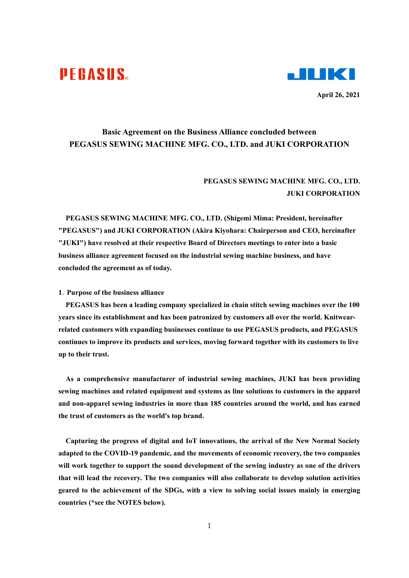# **PEGASUS**



**April 26, 2021** 

## **Basic Agreement on the Business Alliance concluded between PEGASUS SEWING MACHINE MFG. CO., LTD. and JUKI CORPORATION**

## **PEGASUS SEWING MACHINE MFG. CO., LTD. JUKI CORPORATION**

**PEGASUS SEWING MACHINE MFG. CO., LTD. (Shigemi Mima: President, hereinafter "PEGASUS") and JUKI CORPORATION (Akira Kiyohara: Chairperson and CEO, hereinafter "JUKI") have resolved at their respective Board of Directors meetings to enter into a basic business alliance agreement focused on the industrial sewing machine business, and have concluded the agreement as of today.** 

#### **1**.**Purpose of the business alliance**

**PEGASUS has been a leading company specialized in chain stitch sewing machines over the 100 years since its establishment and has been patronized by customers all over the world. Knitwearrelated customers with expanding businesses continue to use PEGASUS products, and PEGASUS continues to improve its products and services, moving forward together with its customers to live up to their trust.** 

**As a comprehensive manufacturer of industrial sewing machines, JUKI has been providing sewing machines and related equipment and systems as line solutions to customers in the apparel and non-apparel sewing industries in more than 185 countries around the world, and has earned the trust of customers as the world's top brand.** 

**Capturing the progress of digital and IoT innovations, the arrival of the New Normal Society adapted to the COVID-19 pandemic, and the movements of economic recovery, the two companies will work together to support the sound development of the sewing industry as one of the drivers that will lead the recovery. The two companies will also collaborate to develop solution activities geared to the achievement of the SDGs, with a view to solving social issues mainly in emerging countries (\*see the NOTES below).**